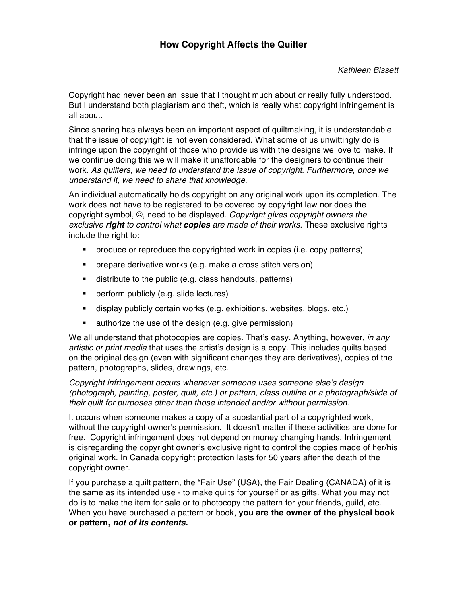Copyright had never been an issue that I thought much about or really fully understood. But I understand both plagiarism and theft, which is really what copyright infringement is all about.

Since sharing has always been an important aspect of quiltmaking, it is understandable that the issue of copyright is not even considered. What some of us unwittingly do is infringe upon the copyright of those who provide us with the designs we love to make. If we continue doing this we will make it unaffordable for the designers to continue their work. *As quilters, we need to understand the issue of copyright. Furthermore, once we understand it, we need to share that knowledge.*

An individual automatically holds copyright on any original work upon its completion. The work does not have to be registered to be covered by copyright law nor does the copyright symbol, ©, need to be displayed. *Copyright gives copyright owners the exclusive right to control what copies are made of their works.* These exclusive rights include the right to:

- produce or reproduce the copyrighted work in copies (i.e. copy patterns)
- prepare derivative works (e.g. make a cross stitch version)
- distribute to the public (e.g. class handouts, patterns)
- perform publicly (e.g. slide lectures)
- **•** display publicly certain works (e.g. exhibitions, websites, blogs, etc.)
- authorize the use of the design (e.g. give permission)

We all understand that photocopies are copies. That's easy. Anything, however, *in any artistic or print media* that uses the artist's design is a copy. This includes quilts based on the original design (even with significant changes they are derivatives), copies of the pattern, photographs, slides, drawings, etc.

*Copyright infringement occurs whenever someone uses someone else's design (photograph, painting, poster, quilt, etc.) or pattern, class outline or a photograph/slide of their quilt for purposes other than those intended and/or without permission*.

It occurs when someone makes a copy of a substantial part of a copyrighted work, without the copyright owner's permission. It doesn't matter if these activities are done for free. Copyright infringement does not depend on money changing hands. Infringement is disregarding the copyright owner's exclusive right to control the copies made of her/his original work. In Canada copyright protection lasts for 50 years after the death of the copyright owner.

If you purchase a quilt pattern, the "Fair Use" (USA), the Fair Dealing (CANADA) of it is the same as its intended use - to make quilts for yourself or as gifts. What you may not do is to make the item for sale or to photocopy the pattern for your friends, guild, etc. When you have purchased a pattern or book, **you are the owner of the physical book or pattern,** *not of its contents.*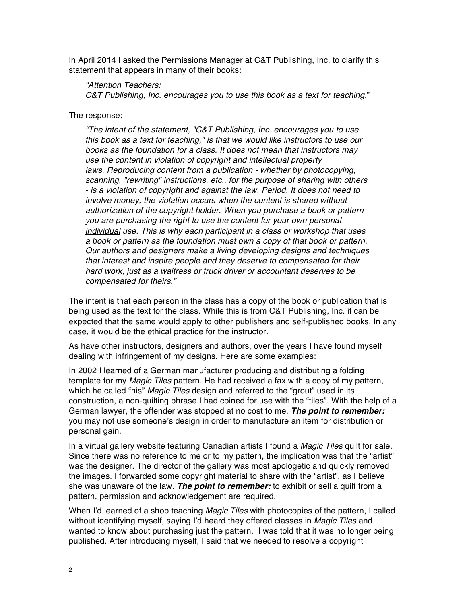In April 2014 I asked the Permissions Manager at C&T Publishing, Inc. to clarify this statement that appears in many of their books:

## *"Attention Teachers:*

*C&T Publishing, Inc. encourages you to use this book as a text for teaching*."

The response:

*"The intent of the statement, "C&T Publishing, Inc. encourages you to use this book as a text for teaching," is that we would like instructors to use our books as the foundation for a class. It does not mean that instructors may use the content in violation of copyright and intellectual property laws. Reproducing content from a publication - whether by photocopying, scanning, "rewriting" instructions, etc., for the purpose of sharing with others - is a violation of copyright and against the law. Period. It does not need to involve money, the violation occurs when the content is shared without authorization of the copyright holder. When you purchase a book or pattern you are purchasing the right to use the content for your own personal individual use. This is why each participant in a class or workshop that uses a book or pattern as the foundation must own a copy of that book or pattern. Our authors and designers make a living developing designs and techniques that interest and inspire people and they deserve to compensated for their hard work, just as a waitress or truck driver or accountant deserves to be compensated for theirs."*

The intent is that each person in the class has a copy of the book or publication that is being used as the text for the class. While this is from C&T Publishing, Inc. it can be expected that the same would apply to other publishers and self-published books. In any case, it would be the ethical practice for the instructor.

As have other instructors, designers and authors, over the years I have found myself dealing with infringement of my designs. Here are some examples:

In 2002 I learned of a German manufacturer producing and distributing a folding template for my *Magic Tiles* pattern. He had received a fax with a copy of my pattern, which he called "his" *Magic Tiles* design and referred to the "grout" used in its construction, a non-quilting phrase I had coined for use with the "tiles". With the help of a German lawyer, the offender was stopped at no cost to me. *The point to remember:* you may not use someone's design in order to manufacture an item for distribution or personal gain.

In a virtual gallery website featuring Canadian artists I found a *Magic Tiles* quilt for sale. Since there was no reference to me or to my pattern, the implication was that the "artist" was the designer. The director of the gallery was most apologetic and quickly removed the images. I forwarded some copyright material to share with the "artist", as I believe she was unaware of the law. *The point to remember:* to exhibit or sell a quilt from a pattern, permission and acknowledgement are required.

When I'd learned of a shop teaching *Magic Tiles* with photocopies of the pattern, I called without identifying myself, saying I'd heard they offered classes in *Magic Tiles* and wanted to know about purchasing just the pattern. I was told that it was no longer being published. After introducing myself, I said that we needed to resolve a copyright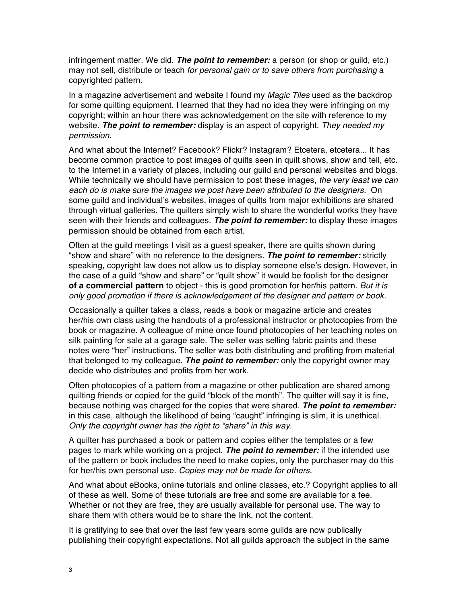infringement matter. We did. *The point to remember:* a person (or shop or guild, etc.) may not sell, distribute or teach *for personal gain or to save others from purchasing* a copyrighted pattern.

In a magazine advertisement and website I found my *Magic Tiles* used as the backdrop for some quilting equipment. I learned that they had no idea they were infringing on my copyright; within an hour there was acknowledgement on the site with reference to my website. *The point to remember:* display is an aspect of copyright. *They needed my permission.*

And what about the Internet? Facebook? Flickr? Instagram? Etcetera, etcetera... It has become common practice to post images of quilts seen in quilt shows, show and tell, etc. to the Internet in a variety of places, including our guild and personal websites and blogs. While technically we should have permission to post these images, *the very least we can each do is make sure the images we post have been attributed to the designers.* On some guild and individual's websites, images of quilts from major exhibitions are shared through virtual galleries. The quilters simply wish to share the wonderful works they have seen with their friends and colleagues. *The point to remember:* to display these images permission should be obtained from each artist.

Often at the guild meetings I visit as a guest speaker, there are quilts shown during "show and share" with no reference to the designers. *The point to remember:* strictly speaking, copyright law does not allow us to display someone else's design. However, in the case of a guild "show and share" or "quilt show" it would be foolish for the designer **of a commercial pattern** to object - this is good promotion for her/his pattern. *But it is only good promotion if there is acknowledgement of the designer and pattern or book.*

Occasionally a quilter takes a class, reads a book or magazine article and creates her/his own class using the handouts of a professional instructor or photocopies from the book or magazine. A colleague of mine once found photocopies of her teaching notes on silk painting for sale at a garage sale. The seller was selling fabric paints and these notes were "her" instructions. The seller was both distributing and profiting from material that belonged to my colleague. *The point to remember:* only the copyright owner may decide who distributes and profits from her work.

Often photocopies of a pattern from a magazine or other publication are shared among quilting friends or copied for the guild "block of the month". The quilter will say it is fine, because nothing was charged for the copies that were shared. *The point to remember:* in this case, although the likelihood of being "caught" infringing is slim, it is unethical. *Only the copyright owner has the right to "share" in this way.*

A quilter has purchased a book or pattern and copies either the templates or a few pages to mark while working on a project. *The point to remember:* if the intended use of the pattern or book includes the need to make copies, only the purchaser may do this for her/his own personal use. *Copies may not be made for others.*

And what about eBooks, online tutorials and online classes, etc.? Copyright applies to all of these as well. Some of these tutorials are free and some are available for a fee. Whether or not they are free, they are usually available for personal use. The way to share them with others would be to share the link, not the content.

It is gratifying to see that over the last few years some guilds are now publically publishing their copyright expectations. Not all guilds approach the subject in the same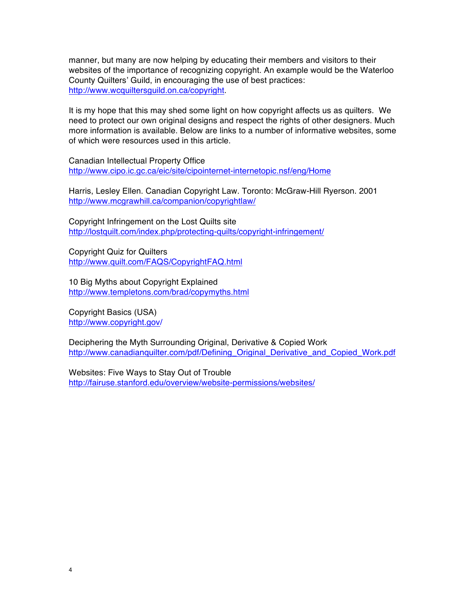manner, but many are now helping by educating their members and visitors to their websites of the importance of recognizing copyright. An example would be the Waterloo County Quilters' Guild, in encouraging the use of best practices: http://www.wcquiltersguild.on.ca/copyright.

It is my hope that this may shed some light on how copyright affects us as quilters. We need to protect our own original designs and respect the rights of other designers. Much more information is available. Below are links to a number of informative websites, some of which were resources used in this article.

Canadian Intellectual Property Office http://www.cipo.ic.gc.ca/eic/site/cipointernet-internetopic.nsf/eng/Home

Harris, Lesley Ellen. Canadian Copyright Law. Toronto: McGraw-Hill Ryerson. 2001 http://www.mcgrawhill.ca/companion/copyrightlaw/

Copyright Infringement on the Lost Quilts site http://lostquilt.com/index.php/protecting-quilts/copyright-infringement/

Copyright Quiz for Quilters http://www.quilt.com/FAQS/CopyrightFAQ.html

10 Big Myths about Copyright Explained http://www.templetons.com/brad/copymyths.html

Copyright Basics (USA) http://www.copyright.gov/

Deciphering the Myth Surrounding Original, Derivative & Copied Work http://www.canadianquilter.com/pdf/Defining\_Original\_Derivative\_and\_Copied\_Work.pdf

Websites: Five Ways to Stay Out of Trouble http://fairuse.stanford.edu/overview/website-permissions/websites/